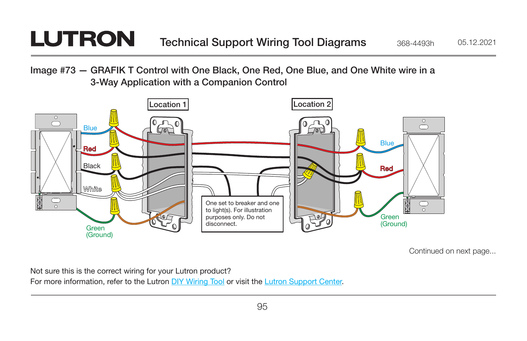## **LUTRON**

Image #73 — GRAFIK T Control with One Black, One Red, One Blue, and One White wire in a 3-Way Application with a Companion Control



Continued on next page...

Not sure this is the correct wiring for your Lutron product?

For more information, refer to the Lutron [DIY Wiring Tool](http://www.lutron.com/wiringtool) or visit the [Lutron Support Center.](http://www.lutron.com/en-US/pages/SupportCenter/support.aspx)